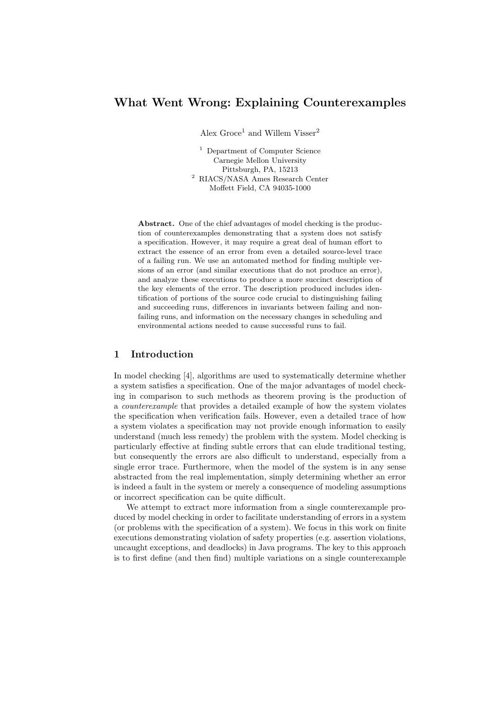# What Went Wrong: Explaining Counterexamples

Alex  $G$ roce<sup>1</sup> and Willem Visser<sup>2</sup>

<sup>1</sup> Department of Computer Science Carnegie Mellon University Pittsburgh, PA, 15213 <sup>2</sup> RIACS/NASA Ames Research Center Moffett Field, CA 94035-1000

Abstract. One of the chief advantages of model checking is the production of counterexamples demonstrating that a system does not satisfy a specification. However, it may require a great deal of human effort to extract the essence of an error from even a detailed source-level trace of a failing run. We use an automated method for finding multiple versions of an error (and similar executions that do not produce an error), and analyze these executions to produce a more succinct description of the key elements of the error. The description produced includes identification of portions of the source code crucial to distinguishing failing and succeeding runs, differences in invariants between failing and nonfailing runs, and information on the necessary changes in scheduling and environmental actions needed to cause successful runs to fail.

## 1 Introduction

In model checking [4], algorithms are used to systematically determine whether a system satisfies a specification. One of the major advantages of model checking in comparison to such methods as theorem proving is the production of a counterexample that provides a detailed example of how the system violates the specification when verification fails. However, even a detailed trace of how a system violates a specification may not provide enough information to easily understand (much less remedy) the problem with the system. Model checking is particularly effective at finding subtle errors that can elude traditional testing, but consequently the errors are also difficult to understand, especially from a single error trace. Furthermore, when the model of the system is in any sense abstracted from the real implementation, simply determining whether an error is indeed a fault in the system or merely a consequence of modeling assumptions or incorrect specification can be quite difficult.

We attempt to extract more information from a single counterexample produced by model checking in order to facilitate understanding of errors in a system (or problems with the specification of a system). We focus in this work on finite executions demonstrating violation of safety properties (e.g. assertion violations, uncaught exceptions, and deadlocks) in Java programs. The key to this approach is to first define (and then find) multiple variations on a single counterexample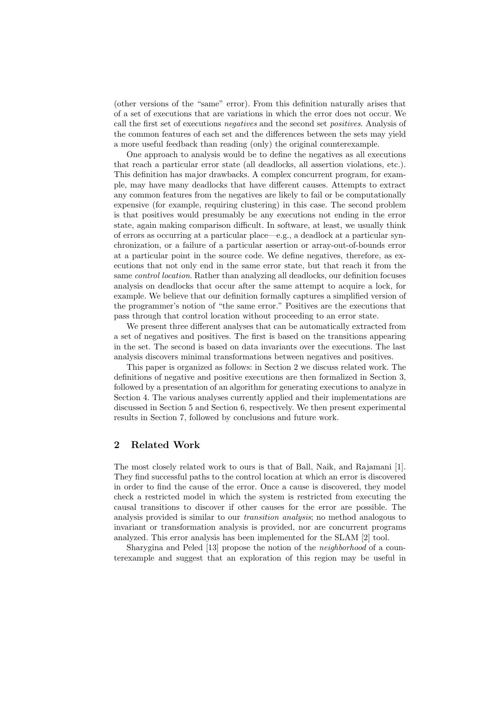(other versions of the "same" error). From this definition naturally arises that of a set of executions that are variations in which the error does not occur. We call the first set of executions negatives and the second set positives. Analysis of the common features of each set and the differences between the sets may yield a more useful feedback than reading (only) the original counterexample.

One approach to analysis would be to define the negatives as all executions that reach a particular error state (all deadlocks, all assertion violations, etc.). This definition has major drawbacks. A complex concurrent program, for example, may have many deadlocks that have different causes. Attempts to extract any common features from the negatives are likely to fail or be computationally expensive (for example, requiring clustering) in this case. The second problem is that positives would presumably be any executions not ending in the error state, again making comparison difficult. In software, at least, we usually think of errors as occurring at a particular place—e.g., a deadlock at a particular synchronization, or a failure of a particular assertion or array-out-of-bounds error at a particular point in the source code. We define negatives, therefore, as executions that not only end in the same error state, but that reach it from the same *control location*. Rather than analyzing all deadlocks, our definition focuses analysis on deadlocks that occur after the same attempt to acquire a lock, for example. We believe that our definition formally captures a simplified version of the programmer's notion of "the same error." Positives are the executions that pass through that control location without proceeding to an error state.

We present three different analyses that can be automatically extracted from a set of negatives and positives. The first is based on the transitions appearing in the set. The second is based on data invariants over the executions. The last analysis discovers minimal transformations between negatives and positives.

This paper is organized as follows: in Section 2 we discuss related work. The definitions of negative and positive executions are then formalized in Section 3, followed by a presentation of an algorithm for generating executions to analyze in Section 4. The various analyses currently applied and their implementations are discussed in Section 5 and Section 6, respectively. We then present experimental results in Section 7, followed by conclusions and future work.

## 2 Related Work

The most closely related work to ours is that of Ball, Naik, and Rajamani [1]. They find successful paths to the control location at which an error is discovered in order to find the cause of the error. Once a cause is discovered, they model check a restricted model in which the system is restricted from executing the causal transitions to discover if other causes for the error are possible. The analysis provided is similar to our transition analysis; no method analogous to invariant or transformation analysis is provided, nor are concurrent programs analyzed. This error analysis has been implemented for the SLAM [2] tool.

Sharygina and Peled [13] propose the notion of the neighborhood of a counterexample and suggest that an exploration of this region may be useful in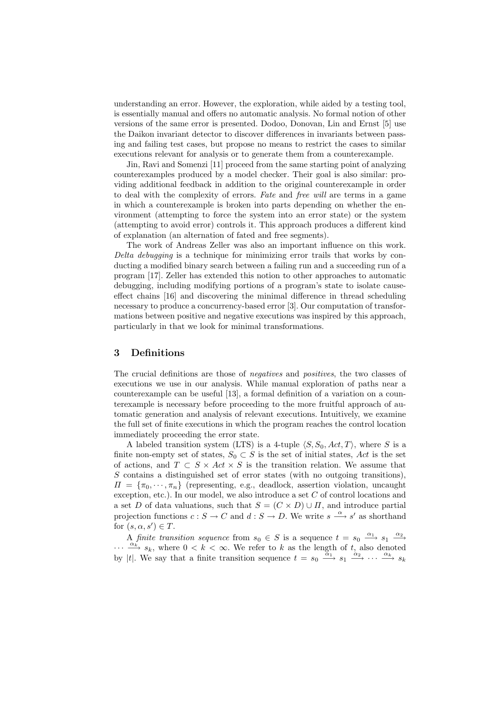understanding an error. However, the exploration, while aided by a testing tool, is essentially manual and offers no automatic analysis. No formal notion of other versions of the same error is presented. Dodoo, Donovan, Lin and Ernst [5] use the Daikon invariant detector to discover differences in invariants between passing and failing test cases, but propose no means to restrict the cases to similar executions relevant for analysis or to generate them from a counterexample.

Jin, Ravi and Somenzi [11] proceed from the same starting point of analyzing counterexamples produced by a model checker. Their goal is also similar: providing additional feedback in addition to the original counterexample in order to deal with the complexity of errors. Fate and free will are terms in a game in which a counterexample is broken into parts depending on whether the environment (attempting to force the system into an error state) or the system (attempting to avoid error) controls it. This approach produces a different kind of explanation (an alternation of fated and free segments).

The work of Andreas Zeller was also an important influence on this work. Delta debugging is a technique for minimizing error trails that works by conducting a modified binary search between a failing run and a succeeding run of a program [17]. Zeller has extended this notion to other approaches to automatic debugging, including modifying portions of a program's state to isolate causeeffect chains [16] and discovering the minimal difference in thread scheduling necessary to produce a concurrency-based error [3]. Our computation of transformations between positive and negative executions was inspired by this approach, particularly in that we look for minimal transformations.

### 3 Definitions

The crucial definitions are those of negatives and positives, the two classes of executions we use in our analysis. While manual exploration of paths near a counterexample can be useful [13], a formal definition of a variation on a counterexample is necessary before proceeding to the more fruitful approach of automatic generation and analysis of relevant executions. Intuitively, we examine the full set of finite executions in which the program reaches the control location immediately proceeding the error state.

A labeled transition system (LTS) is a 4-tuple  $\langle S, S_0, Act, T \rangle$ , where S is a finite non-empty set of states,  $S_0 \subset S$  is the set of initial states, Act is the set of actions, and  $T \subset S \times Act \times S$  is the transition relation. We assume that S contains a distinguished set of error states (with no outgoing transitions),  $\Pi = {\pi_0, \cdots, \pi_n}$  (representing, e.g., deadlock, assertion violation, uncaught exception, etc.). In our model, we also introduce a set C of control locations and a set D of data valuations, such that  $S = (C \times D) \cup \Pi$ , and introduce partial projection functions  $c : S \to C$  and  $d : S \to D$ . We write  $s \stackrel{\alpha}{\longrightarrow} s'$  as shorthand for  $(s, \alpha, s') \in T$ .

A finite transition sequence from  $s_0 \in S$  is a sequence  $t = s_0 \xrightarrow{\alpha_1} s_1 \xrightarrow{\alpha_2}$  $\cdots \stackrel{\alpha_k^*}{\longrightarrow} s_k$ , where  $0 < k < \infty$ . We refer to k as the length of t, also denoted by |t|. We say that a finite transition sequence  $t = s_0 \xrightarrow{\alpha_1} s_1 \xrightarrow{\alpha_2} \cdots \xrightarrow{\alpha_k} s_k$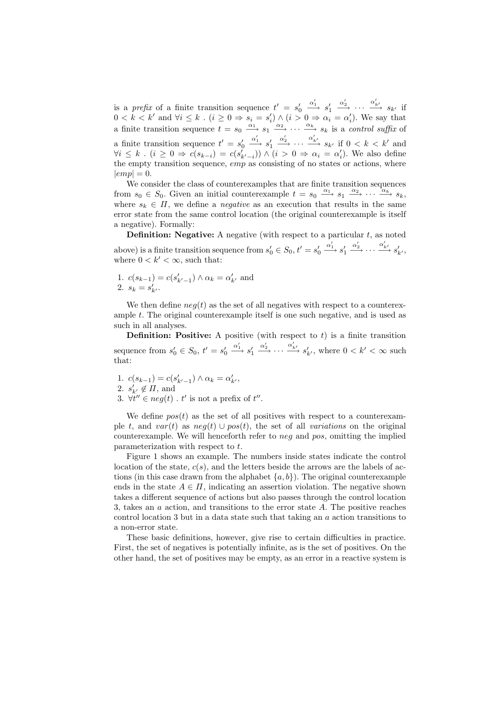is a *prefix* of a finite transition sequence  $t' = s'_0$  $\stackrel{\alpha'_1}{\longrightarrow} s'_1$  $\stackrel{\alpha'_2}{\longrightarrow} \cdots \stackrel{\alpha'_{k'}}{\longrightarrow} s_{k'}$  if  $0 < k < k'$  and  $\forall i \leq k$ .  $(i \geq 0 \Rightarrow s_i = s'_i) \wedge (i > 0 \Rightarrow \alpha_i = \alpha'_i)$ . We say that a finite transition sequence  $t = s_0 \xrightarrow{\alpha_1} s_1 \xrightarrow{\alpha_2} \cdots \xrightarrow{\alpha_k} s_k$  is a *control suffix* of a finite transition sequence  $t' = s'_0$  $\stackrel{\alpha'_1}{\longrightarrow} s'_1$  $\stackrel{\alpha_2'}{\longrightarrow} \cdots \stackrel{\alpha_{k'}}{\longrightarrow} s_{k'}$  if  $0 < k < k'$  and  $\forall i \leq k$ .  $(i \geq 0 \Rightarrow c(s_{k-i}) = c(s'_{k'-i}) \land (i > 0 \Rightarrow \alpha_i = \alpha'_i)$ . We also define the empty transition sequence,  $emp$  as consisting of no states or actions, where  $|emp| = 0.$ 

We consider the class of counterexamples that are finite transition sequences from  $s_0 \in S_0$ . Given an initial counterexample  $t = s_0 \xrightarrow{\alpha_1} s_1 \xrightarrow{\alpha_2} \cdots \xrightarrow{\alpha_k} s_k$ where  $s_k \in \Pi$ , we define a *negative* as an execution that results in the same error state from the same control location (the original counterexample is itself a negative). Formally:

**Definition:** Negative: A negative (with respect to a particular  $t$ , as noted above) is a finite transition sequence from  $s'_0 \in S_0$ ,  $t' = s'_0$  $\xrightarrow{\alpha_1'} s_1'$  $\stackrel{\alpha'_2}{\longrightarrow} \cdots \stackrel{\alpha'_{k'}}{\longrightarrow} s'_{k'},$ where  $0 < k' < \infty$ , such that:

1. 
$$
c(s_{k-1}) = c(s'_{k'-1}) \wedge \alpha_k = \alpha'_{k'}
$$
 and  
2.  $s_k = s'_{k'}$ .

We then define  $neg(t)$  as the set of all negatives with respect to a counterexample t. The original counterexample itself is one such negative, and is used as such in all analyses.

**Definition:** Positive: A positive (with respect to  $t$ ) is a finite transition sequence from  $s'_0 \in S_0$ ,  $t' = s'_0$  $\stackrel{\alpha'_1}{\longrightarrow} s'_1$  $\frac{\alpha'_2}{\longrightarrow} \cdots \stackrel{\alpha'_{k'}}{\longrightarrow} s'_{k'}$ , where  $0 < k' < \infty$  such that:

1.  $c(s_{k-1}) = c(s'_{k'-1}) \wedge \alpha_k = \alpha'_{k'}$ 2.  $s'_{k'} \notin \Pi$ , and 3.  $\forall t'' \in neg(t)$ .  $t'$  is not a prefix of  $t''$ .

We define  $pos(t)$  as the set of all positives with respect to a counterexample t, and var(t) as  $neg(t) \cup pos(t)$ , the set of all variations on the original counterexample. We will henceforth refer to neg and pos, omitting the implied parameterization with respect to t.

Figure 1 shows an example. The numbers inside states indicate the control location of the state,  $c(s)$ , and the letters beside the arrows are the labels of actions (in this case drawn from the alphabet  $\{a, b\}$ ). The original counterexample ends in the state  $A \in \Pi$ , indicating an assertion violation. The negative shown takes a different sequence of actions but also passes through the control location 3, takes an a action, and transitions to the error state A. The positive reaches control location 3 but in a data state such that taking an a action transitions to a non-error state.

These basic definitions, however, give rise to certain difficulties in practice. First, the set of negatives is potentially infinite, as is the set of positives. On the other hand, the set of positives may be empty, as an error in a reactive system is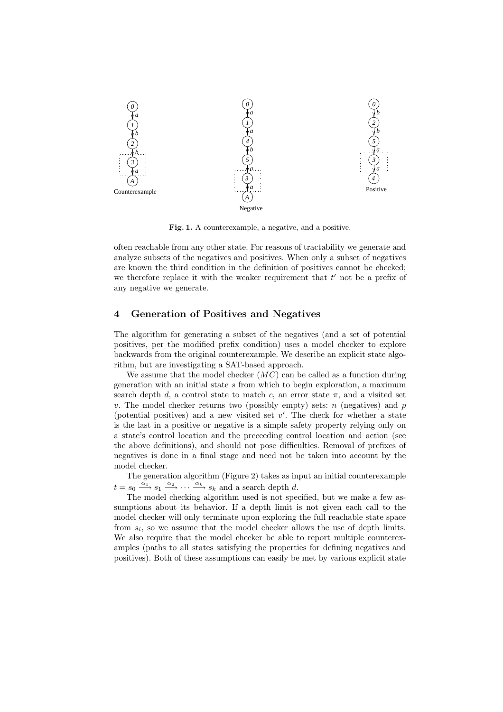

Fig. 1. A counterexample, a negative, and a positive.

often reachable from any other state. For reasons of tractability we generate and analyze subsets of the negatives and positives. When only a subset of negatives are known the third condition in the definition of positives cannot be checked; we therefore replace it with the weaker requirement that  $t'$  not be a prefix of any negative we generate.

## 4 Generation of Positives and Negatives

The algorithm for generating a subset of the negatives (and a set of potential positives, per the modified prefix condition) uses a model checker to explore backwards from the original counterexample. We describe an explicit state algorithm, but are investigating a SAT-based approach.

We assume that the model checker  $(MC)$  can be called as a function during generation with an initial state  $s$  from which to begin exploration, a maximum search depth d, a control state to match c, an error state  $\pi$ , and a visited set v. The model checker returns two (possibly empty) sets:  $n$  (negatives) and  $p$ (potential positives) and a new visited set  $v'$ . The check for whether a state is the last in a positive or negative is a simple safety property relying only on a state's control location and the preceeding control location and action (see the above definitions), and should not pose difficulties. Removal of prefixes of negatives is done in a final stage and need not be taken into account by the model checker.

The generation algorithm (Figure 2) takes as input an initial counterexample  $t = s_0 \xrightarrow{\alpha_1} s_1 \xrightarrow{\alpha_2} \cdots \xrightarrow{\alpha_k} s_k$  and a search depth d.

The model checking algorithm used is not specified, but we make a few assumptions about its behavior. If a depth limit is not given each call to the model checker will only terminate upon exploring the full reachable state space from  $s_i$ , so we assume that the model checker allows the use of depth limits. We also require that the model checker be able to report multiple counterexamples (paths to all states satisfying the properties for defining negatives and positives). Both of these assumptions can easily be met by various explicit state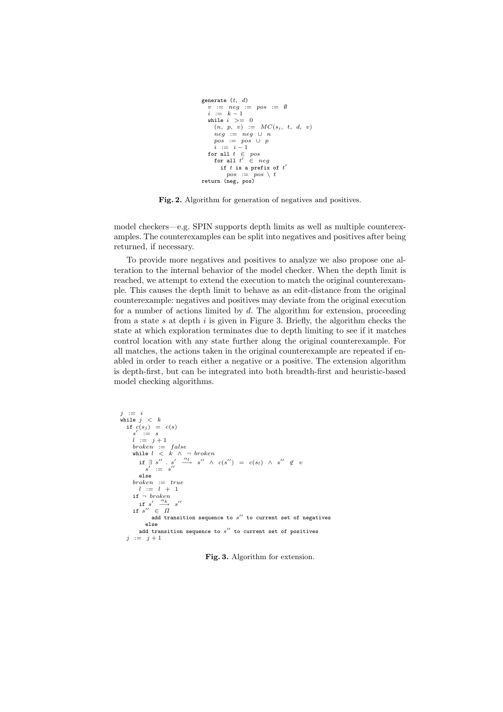```
generate (t, d)v := neg := pos := \emptyseti := k - 1while i \geq 0(n, p, v) := MC(s_i, t, d, v)neg := neg ∪ n
     pos := pos \cup p<br>
i := i - 1for all t \in pos<br>for all t' \in negif t is a prefix of t'pos := pos \setminus treturn (neg, pos)
```
Fig. 2. Algorithm for generation of negatives and positives.

model checkers—e.g. SPIN supports depth limits as well as multiple counterexamples. The counterexamples can be split into negatives and positives after being returned, if necessary.

To provide more negatives and positives to analyze we also propose one alteration to the internal behavior of the model checker. When the depth limit is reached, we attempt to extend the execution to match the original counterexample. This causes the depth limit to behave as an edit-distance from the original counterexample: negatives and positives may deviate from the original execution for a number of actions limited by  $d$ . The algorithm for extension, proceeding from a state  $s$  at depth  $i$  is given in Figure 3. Briefly, the algorithm checks the state at which exploration terminates due to depth limiting to see if it matches control location with any state further along the original counterexample. For all matches, the actions taken in the original counterexample are repeated if enabled in order to reach either a negative or a positive. The extension algorithm is depth-first, but can be integrated into both breadth-first and heuristic-based model checking algorithms.

```
i := iwhile j < kif c(s_j) = c(s)s' := s<br>
l := j+1broken := false<br>while l \leq k \land \neg brokenif ∃ s
00
. s
0
αl −→ s
00 ∧ c(s
00) = c(sl) ∧ s
00 6∈ v
s
0
:= s
00
        else
     broken := truel := l + 1<br>if \neg\ brokenif s' \stackrel{\alpha_k}{\longrightarrow} s''if s'' \in \Piadd transition sequence to s^{\prime\prime} to current set of negatives
           else
        add transition sequence to s^{\prime\prime} to current set of positives
  j := j + 1
```
Fig. 3. Algorithm for extension.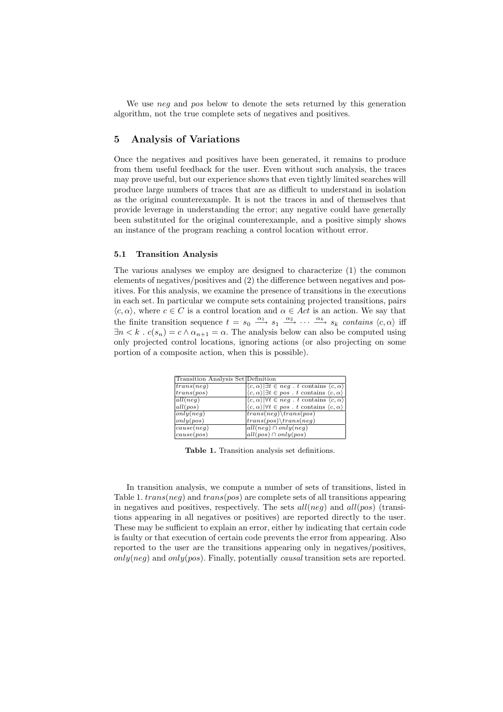We use neg and pos below to denote the sets returned by this generation algorithm, not the true complete sets of negatives and positives.

## 5 Analysis of Variations

Once the negatives and positives have been generated, it remains to produce from them useful feedback for the user. Even without such analysis, the traces may prove useful, but our experience shows that even tightly limited searches will produce large numbers of traces that are as difficult to understand in isolation as the original counterexample. It is not the traces in and of themselves that provide leverage in understanding the error; any negative could have generally been substituted for the original counterexample, and a positive simply shows an instance of the program reaching a control location without error.

#### 5.1 Transition Analysis

The various analyses we employ are designed to characterize (1) the common elements of negatives/positives and (2) the difference between negatives and positives. For this analysis, we examine the presence of transitions in the executions in each set. In particular we compute sets containing projected transitions, pairs  $\langle c, \alpha \rangle$ , where  $c \in C$  is a control location and  $\alpha \in Act$  is an action. We say that the finite transition sequence  $t = s_0 \xrightarrow{\alpha_1} s_1 \xrightarrow{\alpha_2} \cdots \xrightarrow{\alpha_k} s_k$  contains  $\langle c, \alpha \rangle$  iff  $\exists n \leq k \cdot c(s_n) = c \wedge \alpha_{n+1} = \alpha$ . The analysis below can also be computed using only projected control locations, ignoring actions (or also projecting on some portion of a composite action, when this is possible).

| Transition Analysis Set Definition |                                                                                                           |
|------------------------------------|-----------------------------------------------------------------------------------------------------------|
| trans(neg)                         | $\langle c, \alpha \rangle$ $\exists t \in neg.$ t contains $\langle c, \alpha \rangle$                   |
| trans(pos)                         | $\langle c, \alpha \rangle \vert \exists t \in pos : t \text{ contains } \langle c, \alpha \rangle \vert$ |
| all(neg)                           | $\langle c, \alpha \rangle \forall t \in neg$ t contains $\langle c, \alpha \rangle$                      |
| all(pos)                           | $\langle c, \alpha \rangle  \forall t \in pos \text{ . } t \text{ contains } \langle c, \alpha \rangle  $ |
| only(neg)                          | $trans(neg) \text{trans}(pos)$                                                                            |
| only (pos)                         | $trans(pos) \backslash trans(neg)$                                                                        |
| cause(neg)                         | $all(neg) \cap only(neg)$                                                                                 |
| cause (pos)                        | $all(pos) \cap only(pos)$                                                                                 |

Table 1. Transition analysis set definitions.

In transition analysis, we compute a number of sets of transitions, listed in Table 1.  $trans(neg)$  and  $trans(pos)$  are complete sets of all transitions appearing in negatives and positives, respectively. The sets  $all(neg)$  and  $all(pos)$  (transitions appearing in all negatives or positives) are reported directly to the user. These may be sufficient to explain an error, either by indicating that certain code is faulty or that execution of certain code prevents the error from appearing. Also reported to the user are the transitions appearing only in negatives/positives,  $only(neq)$  and  $only(pos)$ . Finally, potentially *causal* transition sets are reported.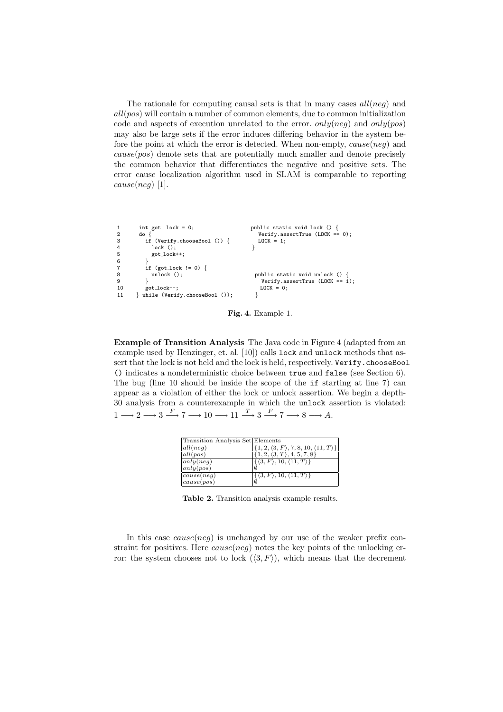The rationale for computing causal sets is that in many cases  $all(neg)$  and all(pos) will contain a number of common elements, due to common initialization code and aspects of execution unrelated to the error.  $only(neg)$  and  $only(pos)$ may also be large sets if the error induces differing behavior in the system before the point at which the error is detected. When non-empty,  $cause(neq)$  and cause(pos) denote sets that are potentially much smaller and denote precisely the common behavior that differentiates the negative and positive sets. The error cause localization algorithm used in SLAM is comparable to reporting  $cause(neq)$ [1].

| int got $lock = 0$ ;           | public static void lock () $\{$   |
|--------------------------------|-----------------------------------|
| do                             | $Verify. assertTrue (LOCK == 0);$ |
| if (Verify.chooseBool ()) $\{$ | $LOCK = 1$ ;                      |
| $lock()$ ;                     |                                   |
| got lock++;                    |                                   |
|                                |                                   |
| if $(got lock != 0)$ {         |                                   |
| $unlock()$ ;                   | public static void unlock $()$ {  |
|                                | $Verify. assertTrue (LOCK == 1);$ |
| got lock--;                    | $LOCK = 0$ ;                      |
| while (Verify.chooseBool ());  |                                   |
|                                |                                   |

Fig. 4. Example 1.

Example of Transition Analysis The Java code in Figure 4 (adapted from an example used by Henzinger, et. al. [10]) calls lock and unlock methods that assert that the lock is not held and the lock is held, respectively. Verify.chooseBool () indicates a nondeterministic choice between true and false (see Section 6). The bug (line 10 should be inside the scope of the if starting at line 7) can appear as a violation of either the lock or unlock assertion. We begin a depth-30 analysis from a counterexample in which the unlock assertion is violated:  $1 \longrightarrow 2 \longrightarrow 3 \stackrel{F}{\longrightarrow} 7 \longrightarrow 10 \longrightarrow 11 \stackrel{T}{\longrightarrow} 3 \stackrel{F}{\longrightarrow} 7 \longrightarrow 8 \longrightarrow A.$ 

| Transition Analysis Set Elements |                                                                   |
|----------------------------------|-------------------------------------------------------------------|
| all(neg)                         | $\{1, 2, \langle 3, F \rangle, 7, 8, 10, \langle 11, T \rangle\}$ |
| all(pos)                         | $\{1, 2, \langle 3, T \rangle, 4, 5, 7, 8\}$                      |
| only(neg)                        | $\{\langle 3, F \rangle, 10, \langle 11, T \rangle\}$             |
| only (pos)                       |                                                                   |
| cause(neg)                       | $\{\langle 3, F \rangle, 10, \langle 11, T \rangle\}$             |
| cause(pos)                       |                                                                   |

Table 2. Transition analysis example results.

In this case  $cause(neg)$  is unchanged by our use of the weaker prefix constraint for positives. Here  $cause(neg)$  notes the key points of the unlocking error: the system chooses not to lock  $(\langle 3, F \rangle)$ , which means that the decrement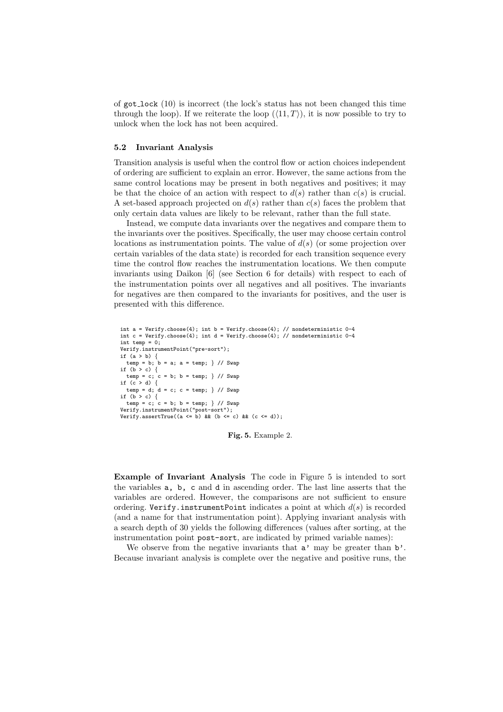of got lock (10) is incorrect (the lock's status has not been changed this time through the loop). If we reiterate the loop  $(\langle 11, T \rangle)$ , it is now possible to try to unlock when the lock has not been acquired.

#### 5.2 Invariant Analysis

Transition analysis is useful when the control flow or action choices independent of ordering are sufficient to explain an error. However, the same actions from the same control locations may be present in both negatives and positives; it may be that the choice of an action with respect to  $d(s)$  rather than  $c(s)$  is crucial. A set-based approach projected on  $d(s)$  rather than  $c(s)$  faces the problem that only certain data values are likely to be relevant, rather than the full state.

Instead, we compute data invariants over the negatives and compare them to the invariants over the positives. Specifically, the user may choose certain control locations as instrumentation points. The value of  $d(s)$  (or some projection over certain variables of the data state) is recorded for each transition sequence every time the control flow reaches the instrumentation locations. We then compute invariants using Daikon [6] (see Section 6 for details) with respect to each of the instrumentation points over all negatives and all positives. The invariants for negatives are then compared to the invariants for positives, and the user is presented with this difference.

```
int a = Verify.choose(4); int b = Verify.choose(4); // nondeterministic 0-4int c = Verify.close(4); int d = Verify.close(4); // nondeterministic 0-4
int temp = 0:
Verify.instrumentPoint("pre-sort");
if (a > b) {
  temp = b; b = a; a = temp; } // Swap
if (b > c) {
temp = c; c = b; b = temp; } // Swap
if (c > d) {
  temp = d; d = c; c = temp; } // Swapif (b > c) {
  temp = c; c = b; b = temp; } // Swap
Verify.instrumentPoint("post-sort");
Verify.assertTrue((a <= b) && (b <= c) && (c <= d));
```
Fig. 5. Example 2.

Example of Invariant Analysis The code in Figure 5 is intended to sort the variables a, b, c and d in ascending order. The last line asserts that the variables are ordered. However, the comparisons are not sufficient to ensure ordering. Verify. instrumentPoint indicates a point at which  $d(s)$  is recorded (and a name for that instrumentation point). Applying invariant analysis with a search depth of 30 yields the following differences (values after sorting, at the instrumentation point post-sort, are indicated by primed variable names):

We observe from the negative invariants that  $a'$  may be greater than  $b'$ . Because invariant analysis is complete over the negative and positive runs, the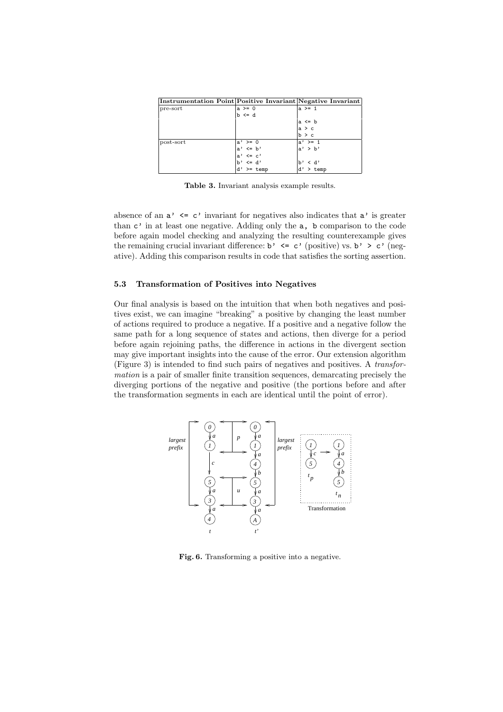| Instrumentation Point Positive Invariant Negative Invariant |              |              |
|-------------------------------------------------------------|--------------|--------------|
| pre-sort                                                    | $a \ge 0$    | $a > = 1$    |
|                                                             | $b \leq d$   |              |
|                                                             |              | $a \leq b$   |
|                                                             |              | a > c        |
|                                                             |              | b > c        |
| post-sort                                                   | a' > 0       | $a' > = 1$   |
|                                                             | $a' \leq b'$ | a' > b'      |
|                                                             | $a' \leq c'$ |              |
|                                                             | $b' \leq d'$ | b' < d'      |
|                                                             | $d'$ >= temp | ď,<br>> temp |

Table 3. Invariant analysis example results.

absence of an  $a' \leq c'$  invariant for negatives also indicates that  $a'$  is greater than c' in at least one negative. Adding only the a, b comparison to the code before again model checking and analyzing the resulting counterexample gives the remaining crucial invariant difference:  $\mathbf{b'} \leq \mathbf{c'}$  (positive) vs.  $\mathbf{b'} > \mathbf{c'}$  (negative). Adding this comparison results in code that satisfies the sorting assertion.

#### 5.3 Transformation of Positives into Negatives

Our final analysis is based on the intuition that when both negatives and positives exist, we can imagine "breaking" a positive by changing the least number of actions required to produce a negative. If a positive and a negative follow the same path for a long sequence of states and actions, then diverge for a period before again rejoining paths, the difference in actions in the divergent section may give important insights into the cause of the error. Our extension algorithm (Figure 3) is intended to find such pairs of negatives and positives. A transformation is a pair of smaller finite transition sequences, demarcating precisely the diverging portions of the negative and positive (the portions before and after the transformation segments in each are identical until the point of error).



Fig. 6. Transforming a positive into a negative.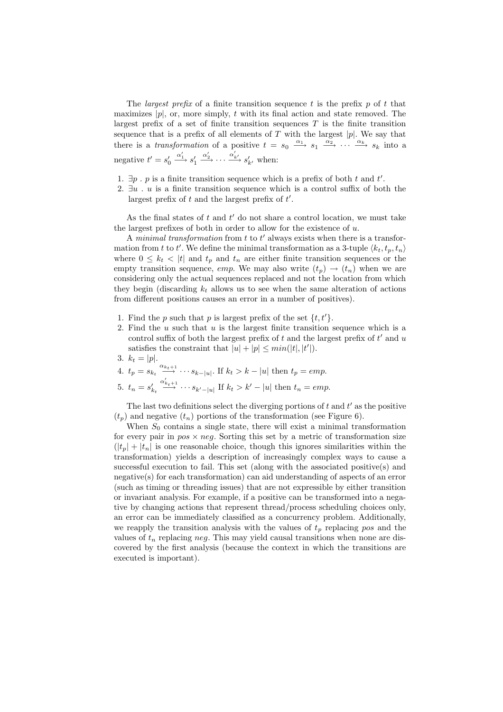The *largest prefix* of a finite transition sequence t is the prefix p of t that maximizes  $|p|$ , or, more simply, t with its final action and state removed. The largest prefix of a set of finite transition sequences  $T$  is the finite transition sequence that is a prefix of all elements of  $T$  with the largest  $|p|$ . We say that there is a transformation of a positive  $t = s_0 \xrightarrow{\alpha_1} s_1 \xrightarrow{\alpha_2} \cdots \xrightarrow{\alpha_k} s_k$  into a negative  $t' = s'_0$  $\xrightarrow{\alpha_1'} s_1'$  $\stackrel{\alpha'_2}{\longrightarrow} \cdots \stackrel{\alpha'_{k'}}{\longrightarrow} s'_{k'}$  when:

- 1.  $\exists p \cdot p$  is a finite transition sequence which is a prefix of both t and t'.
- 2.  $\exists u$ . u is a finite transition sequence which is a control suffix of both the largest prefix of  $t$  and the largest prefix of  $t'$ .

As the final states of  $t$  and  $t'$  do not share a control location, we must take the largest prefixes of both in order to allow for the existence of  $u$ .

A minimal transformation from  $t$  to  $t'$  always exists when there is a transformation from t to t'. We define the minimal transformation as a 3-tuple  $\langle k_t, t_p, t_n \rangle$ where  $0 \leq k_t \leq |t|$  and  $t_p$  and  $t_n$  are either finite transition sequences or the empty transition sequence, emp. We may also write  $(t_p) \rightarrow (t_n)$  when we are considering only the actual sequences replaced and not the location from which they begin (discarding  $k_t$  allows us to see when the same alteration of actions from different positions causes an error in a number of positives).

- 1. Find the p such that p is largest prefix of the set  $\{t, t'\}$ .
- 2. Find the  $u$  such that  $u$  is the largest finite transition sequence which is a control suffix of both the largest prefix of  $t$  and the largest prefix of  $t'$  and  $u$ satisfies the constraint that  $|u| + |p| \le min(|t|, |t'|)$ .
- 3.  $k_t = |p|$ .
- 4.  $t_p = s_{k_t} \stackrel{\alpha_{k_t+1}}{\longrightarrow} \cdots s_{k-|u|}$ . If  $k_t > k |u|$  then  $t_p = emp$ .
- 5.  $t_n = s'_{k_t}$  $\alpha'_{\underset{\longrightarrow}{k+1}} \cdots s_{k'-|u|}$  If  $k_t > k'-|u|$  then  $t_n = emp$ .

The last two definitions select the diverging portions of  $t$  and  $t'$  as the positive  $(t_p)$  and negative  $(t_n)$  portions of the transformation (see Figure 6).

When  $S_0$  contains a single state, there will exist a minimal transformation for every pair in  $pos \times neg$ . Sorting this set by a metric of transformation size  $(|t_p| + |t_n|)$  is one reasonable choice, though this ignores similarities within the transformation) yields a description of increasingly complex ways to cause a successful execution to fail. This set (along with the associated positive(s) and negative(s) for each transformation) can aid understanding of aspects of an error (such as timing or threading issues) that are not expressible by either transition or invariant analysis. For example, if a positive can be transformed into a negative by changing actions that represent thread/process scheduling choices only, an error can be immediately classified as a concurrency problem. Additionally, we reapply the transition analysis with the values of  $t_p$  replacing pos and the values of  $t_n$  replacing neg. This may yield causal transitions when none are discovered by the first analysis (because the context in which the transitions are executed is important).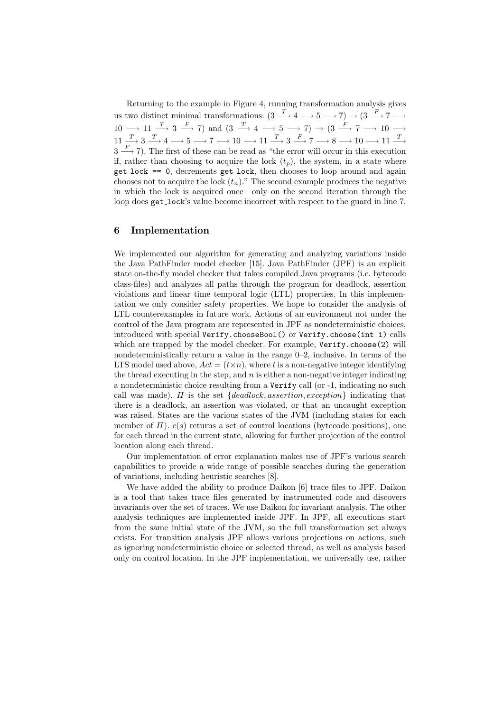Returning to the example in Figure 4, running transformation analysis gives us two distinct minimal transformations:  $(3 \xrightarrow{T} 4 \longrightarrow 5 \longrightarrow 7) \rightarrow (3 \xrightarrow{F} 7 \longrightarrow$  $10 \longrightarrow 11 \stackrel{T}{\longrightarrow} 3 \stackrel{F}{\longrightarrow} 7)$  and  $(3 \stackrel{T}{\longrightarrow} 4 \longrightarrow 5 \longrightarrow 7) \longrightarrow (3 \stackrel{F}{\longrightarrow} 7 \longrightarrow 10 \longrightarrow$  $11 \xrightarrow{T} 3 \xrightarrow{T} 4 \longrightarrow 5 \longrightarrow 7 \longrightarrow 10 \longrightarrow 11 \xrightarrow{T} 3 \xrightarrow{F} 7 \longrightarrow 8 \longrightarrow 10 \longrightarrow 11 \xrightarrow{T}$  $3 \stackrel{F}{\longrightarrow} 7$ ). The first of these can be read as "the error will occur in this execution if, rather than choosing to acquire the lock  $(t_p)$ , the system, in a state where get lock == 0, decrements get lock, then chooses to loop around and again chooses not to acquire the lock  $(t_n)$ ." The second example produces the negative in which the lock is acquired once—only on the second iteration through the loop does get lock's value become incorrect with respect to the guard in line 7.

## 6 Implementation

We implemented our algorithm for generating and analyzing variations inside the Java PathFinder model checker [15]. Java PathFinder (JPF) is an explicit state on-the-fly model checker that takes compiled Java programs (i.e. bytecode class-files) and analyzes all paths through the program for deadlock, assertion violations and linear time temporal logic (LTL) properties. In this implementation we only consider safety properties. We hope to consider the analysis of LTL counterexamples in future work. Actions of an environment not under the control of the Java program are represented in JPF as nondeterministic choices, introduced with special Verify.chooseBool() or Verify.choose(int i) calls which are trapped by the model checker. For example,  $Verify.close(2)$  will nondeterministically return a value in the range 0–2, inclusive. In terms of the LTS model used above,  $Act = (t \times n)$ , where t is a non-negative integer identifying the thread executing in the step, and  $n$  is either a non-negative integer indicating a nondeterministic choice resulting from a Verify call (or -1, indicating no such call was made).  $\Pi$  is the set {deadlock, assertion, exception} indicating that there is a deadlock, an assertion was violated, or that an uncaught exception was raised. States are the various states of the JVM (including states for each member of  $\Pi$ ).  $c(s)$  returns a set of control locations (bytecode positions), one for each thread in the current state, allowing for further projection of the control location along each thread.

Our implementation of error explanation makes use of JPF's various search capabilities to provide a wide range of possible searches during the generation of variations, including heuristic searches [8].

We have added the ability to produce Daikon [6] trace files to JPF. Daikon is a tool that takes trace files generated by instrumented code and discovers invariants over the set of traces. We use Daikon for invariant analysis. The other analysis techniques are implemented inside JPF. In JPF, all executions start from the same initial state of the JVM, so the full transformation set always exists. For transition analysis JPF allows various projections on actions, such as ignoring nondeterministic choice or selected thread, as well as analysis based only on control location. In the JPF implementation, we universally use, rather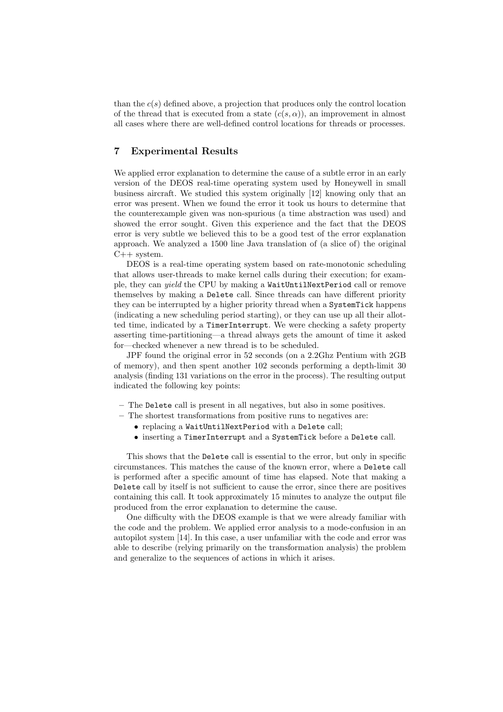than the  $c(s)$  defined above, a projection that produces only the control location of the thread that is executed from a state  $(c(s, \alpha))$ , an improvement in almost all cases where there are well-defined control locations for threads or processes.

## 7 Experimental Results

We applied error explanation to determine the cause of a subtle error in an early version of the DEOS real-time operating system used by Honeywell in small business aircraft. We studied this system originally [12] knowing only that an error was present. When we found the error it took us hours to determine that the counterexample given was non-spurious (a time abstraction was used) and showed the error sought. Given this experience and the fact that the DEOS error is very subtle we believed this to be a good test of the error explanation approach. We analyzed a 1500 line Java translation of (a slice of) the original  $C++$  system.

DEOS is a real-time operating system based on rate-monotonic scheduling that allows user-threads to make kernel calls during their execution; for example, they can yield the CPU by making a WaitUntilNextPeriod call or remove themselves by making a Delete call. Since threads can have different priority they can be interrupted by a higher priority thread when a SystemTick happens (indicating a new scheduling period starting), or they can use up all their allotted time, indicated by a TimerInterrupt. We were checking a safety property asserting time-partitioning—a thread always gets the amount of time it asked for—checked whenever a new thread is to be scheduled.

JPF found the original error in 52 seconds (on a 2.2Ghz Pentium with 2GB of memory), and then spent another 102 seconds performing a depth-limit 30 analysis (finding 131 variations on the error in the process). The resulting output indicated the following key points:

- The Delete call is present in all negatives, but also in some positives.
- The shortest transformations from positive runs to negatives are:
	- replacing a WaitUntilNextPeriod with a Delete call;
	- inserting a TimerInterrupt and a SystemTick before a Delete call.

This shows that the Delete call is essential to the error, but only in specific circumstances. This matches the cause of the known error, where a Delete call is performed after a specific amount of time has elapsed. Note that making a Delete call by itself is not sufficient to cause the error, since there are positives containing this call. It took approximately 15 minutes to analyze the output file produced from the error explanation to determine the cause.

One difficulty with the DEOS example is that we were already familiar with the code and the problem. We applied error analysis to a mode-confusion in an autopilot system [14]. In this case, a user unfamiliar with the code and error was able to describe (relying primarily on the transformation analysis) the problem and generalize to the sequences of actions in which it arises.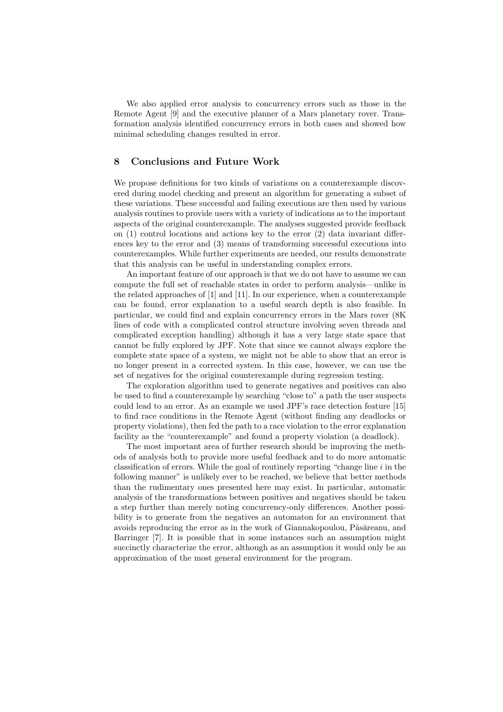We also applied error analysis to concurrency errors such as those in the Remote Agent [9] and the executive planner of a Mars planetary rover. Transformation analysis identified concurrency errors in both cases and showed how minimal scheduling changes resulted in error.

## 8 Conclusions and Future Work

We propose definitions for two kinds of variations on a counterexample discovered during model checking and present an algorithm for generating a subset of these variations. These successful and failing executions are then used by various analysis routines to provide users with a variety of indications as to the important aspects of the original counterexample. The analyses suggested provide feedback on  $(1)$  control locations and actions key to the error  $(2)$  data invariant differences key to the error and (3) means of transforming successful executions into counterexamples. While further experiments are needed, our results demonstrate that this analysis can be useful in understanding complex errors.

An important feature of our approach is that we do not have to assume we can compute the full set of reachable states in order to perform analysis—unlike in the related approaches of [1] and [11]. In our experience, when a counterexample can be found, error explanation to a useful search depth is also feasible. In particular, we could find and explain concurrency errors in the Mars rover (8K lines of code with a complicated control structure involving seven threads and complicated exception handling) although it has a very large state space that cannot be fully explored by JPF. Note that since we cannot always explore the complete state space of a system, we might not be able to show that an error is no longer present in a corrected system. In this case, however, we can use the set of negatives for the original counterexample during regression testing.

The exploration algorithm used to generate negatives and positives can also be used to find a counterexample by searching "close to" a path the user suspects could lead to an error. As an example we used JPF's race detection feature [15] to find race conditions in the Remote Agent (without finding any deadlocks or property violations), then fed the path to a race violation to the error explanation facility as the "counterexample" and found a property violation (a deadlock).

The most important area of further research should be improving the methods of analysis both to provide more useful feedback and to do more automatic classification of errors. While the goal of routinely reporting "change line  $i$  in the following manner" is unlikely ever to be reached, we believe that better methods than the rudimentary ones presented here may exist. In particular, automatic analysis of the transformations between positives and negatives should be taken a step further than merely noting concurrency-only differences. Another possibility is to generate from the negatives an automaton for an environment that avoids reproducing the error as in the work of Giannakopoulou, Păsăreanu, and Barringer [7]. It is possible that in some instances such an assumption might succinctly characterize the error, although as an assumption it would only be an approximation of the most general environment for the program.